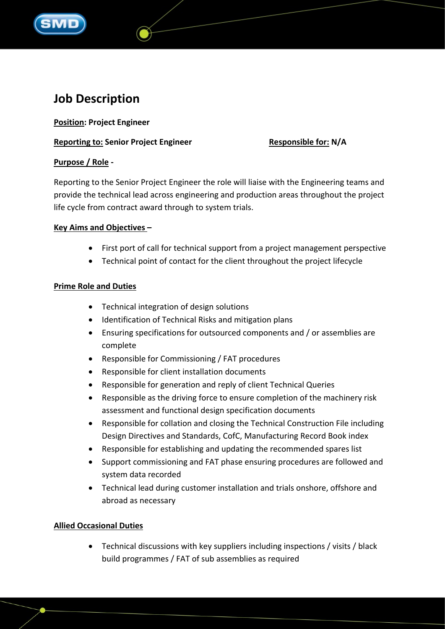

# **Job Description**

**Position: Project Engineer**

**Reporting to: Senior Project Engineer** Responsible for: N/A

# **Purpose / Role -**

Reporting to the Senior Project Engineer the role will liaise with the Engineering teams and provide the technical lead across engineering and production areas throughout the project life cycle from contract award through to system trials.

# **Key Aims and Objectives –**

- First port of call for technical support from a project management perspective
- Technical point of contact for the client throughout the project lifecycle

## **Prime Role and Duties**

- Technical integration of design solutions
- Identification of Technical Risks and mitigation plans
- Ensuring specifications for outsourced components and / or assemblies are complete
- Responsible for Commissioning / FAT procedures
- Responsible for client installation documents
- Responsible for generation and reply of client Technical Queries
- Responsible as the driving force to ensure completion of the machinery risk assessment and functional design specification documents
- Responsible for collation and closing the Technical Construction File including Design Directives and Standards, CofC, Manufacturing Record Book index
- Responsible for establishing and updating the recommended spares list
- Support commissioning and FAT phase ensuring procedures are followed and system data recorded
- Technical lead during customer installation and trials onshore, offshore and abroad as necessary

# **Allied Occasional Duties**

• Technical discussions with key suppliers including inspections / visits / black build programmes / FAT of sub assemblies as required